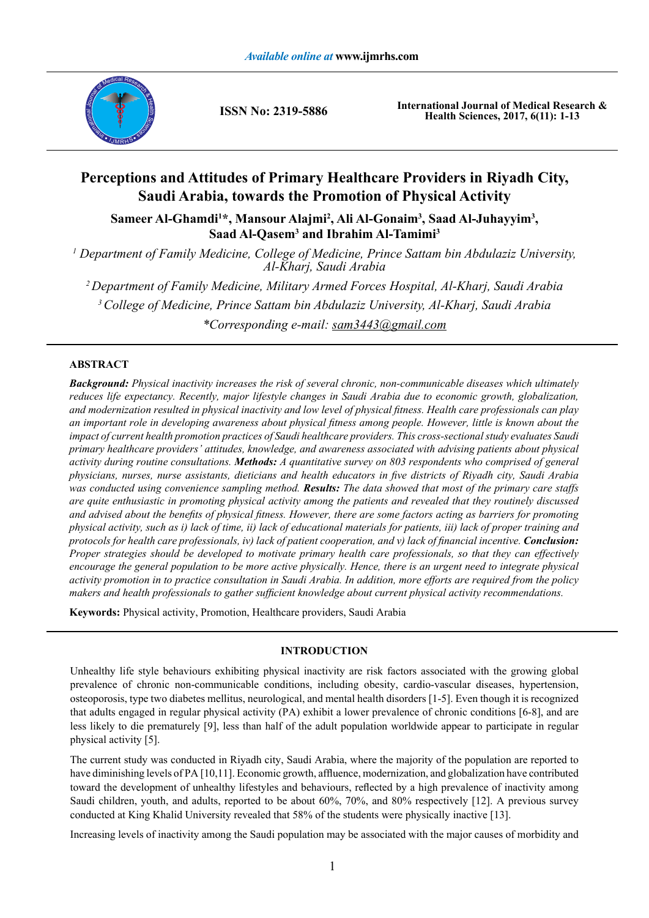

**ISSN No: 2319-5886**

**International Journal of Medical Research & Health Sciences, 2017, 6(11): 1-13**

## **Perceptions and Attitudes of Primary Healthcare Providers in Riyadh City, Saudi Arabia, towards the Promotion of Physical Activity**

Sameer Al-Ghamdi<sup>1\*</sup>, Mansour Alajmi<sup>2</sup>, Ali Al-Gonaim<sup>3</sup>, Saad Al-Juhayyim<sup>3</sup>, **Saad Al-Qasem3 and Ibrahim Al-Tamimi3**

*1 Department of Family Medicine, College of Medicine, Prince Sattam bin Abdulaziz University, Al-Kharj, Saudi Arabia*

*2 Department of Family Medicine, Military Armed Forces Hospital, Al-Kharj, Saudi Arabia 3 College of Medicine, Prince Sattam bin Abdulaziz University, Al-Kharj, Saudi Arabia \*Corresponding e-mail: sam3443@gmail.com*

### **ABSTRACT**

*Background: Physical inactivity increases the risk of several chronic, non-communicable diseases which ultimately reduces life expectancy. Recently, major lifestyle changes in Saudi Arabia due to economic growth, globalization, and modernization resulted in physical inactivity and low level of physical fitness. Health care professionals can play an important role in developing awareness about physical fitness among people. However, little is known about the impact of current health promotion practices of Saudi healthcare providers. This cross-sectional study evaluates Saudi primary healthcare providers' attitudes, knowledge, and awareness associated with advising patients about physical activity during routine consultations. Methods: A quantitative survey on 803 respondents who comprised of general physicians, nurses, nurse assistants, dieticians and health educators in five districts of Riyadh city, Saudi Arabia was conducted using convenience sampling method. Results: The data showed that most of the primary care staffs are quite enthusiastic in promoting physical activity among the patients and revealed that they routinely discussed and advised about the benefits of physical fitness. However, there are some factors acting as barriers for promoting physical activity, such as i) lack of time, ii) lack of educational materials for patients, iii) lack of proper training and protocols for health care professionals, iv) lack of patient cooperation, and v) lack of financial incentive. Conclusion: Proper strategies should be developed to motivate primary health care professionals, so that they can effectively encourage the general population to be more active physically. Hence, there is an urgent need to integrate physical activity promotion in to practice consultation in Saudi Arabia. In addition, more efforts are required from the policy makers and health professionals to gather sufficient knowledge about current physical activity recommendations.*

**Keywords:** Physical activity, Promotion, Healthcare providers, Saudi Arabia

### **INTRODUCTION**

Unhealthy life style behaviours exhibiting physical inactivity are risk factors associated with the growing global prevalence of chronic non-communicable conditions, including obesity, cardio-vascular diseases, hypertension, osteoporosis, type two diabetes mellitus, neurological, and mental health disorders [1-5]. Even though it is recognized that adults engaged in regular physical activity (PA) exhibit a lower prevalence of chronic conditions [6-8], and are less likely to die prematurely [9], less than half of the adult population worldwide appear to participate in regular physical activity [5].

The current study was conducted in Riyadh city, Saudi Arabia, where the majority of the population are reported to have diminishing levels of PA [10,11]. Economic growth, affluence, modernization, and globalization have contributed toward the development of unhealthy lifestyles and behaviours, reflected by a high prevalence of inactivity among Saudi children, youth, and adults, reported to be about 60%, 70%, and 80% respectively [12]. A previous survey conducted at King Khalid University revealed that 58% of the students were physically inactive [13].

Increasing levels of inactivity among the Saudi population may be associated with the major causes of morbidity and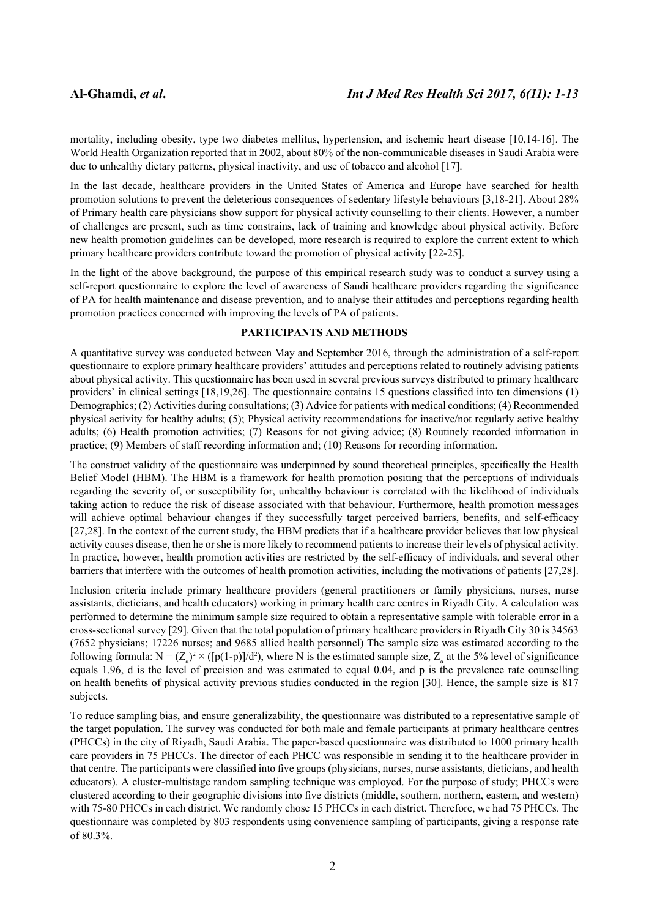mortality, including obesity, type two diabetes mellitus, hypertension, and ischemic heart disease [10,14-16]. The World Health Organization reported that in 2002, about 80% of the non-communicable diseases in Saudi Arabia were due to unhealthy dietary patterns, physical inactivity, and use of tobacco and alcohol [17].

In the last decade, healthcare providers in the United States of America and Europe have searched for health promotion solutions to prevent the deleterious consequences of sedentary lifestyle behaviours [3,18-21]. About 28% of Primary health care physicians show support for physical activity counselling to their clients. However, a number of challenges are present, such as time constrains, lack of training and knowledge about physical activity. Before new health promotion guidelines can be developed, more research is required to explore the current extent to which primary healthcare providers contribute toward the promotion of physical activity [22-25].

In the light of the above background, the purpose of this empirical research study was to conduct a survey using a self-report questionnaire to explore the level of awareness of Saudi healthcare providers regarding the significance of PA for health maintenance and disease prevention, and to analyse their attitudes and perceptions regarding health promotion practices concerned with improving the levels of PA of patients.

### **PARTICIPANTS AND METHODS**

A quantitative survey was conducted between May and September 2016, through the administration of a self-report questionnaire to explore primary healthcare providers' attitudes and perceptions related to routinely advising patients about physical activity. This questionnaire has been used in several previous surveys distributed to primary healthcare providers' in clinical settings [18,19,26]. The questionnaire contains 15 questions classified into ten dimensions (1) Demographics; (2) Activities during consultations; (3) Advice for patients with medical conditions; (4) Recommended physical activity for healthy adults; (5); Physical activity recommendations for inactive/not regularly active healthy adults; (6) Health promotion activities; (7) Reasons for not giving advice; (8) Routinely recorded information in practice; (9) Members of staff recording information and; (10) Reasons for recording information.

The construct validity of the questionnaire was underpinned by sound theoretical principles, specifically the Health Belief Model (HBM). The HBM is a framework for health promotion positing that the perceptions of individuals regarding the severity of, or susceptibility for, unhealthy behaviour is correlated with the likelihood of individuals taking action to reduce the risk of disease associated with that behaviour. Furthermore, health promotion messages will achieve optimal behaviour changes if they successfully target perceived barriers, benefits, and self-efficacy [27,28]. In the context of the current study, the HBM predicts that if a healthcare provider believes that low physical activity causes disease, then he or she is more likely to recommend patients to increase their levels of physical activity. In practice, however, health promotion activities are restricted by the self-efficacy of individuals, and several other barriers that interfere with the outcomes of health promotion activities, including the motivations of patients [27,28].

Inclusion criteria include primary healthcare providers (general practitioners or family physicians, nurses, nurse assistants, dieticians, and health educators) working in primary health care centres in Riyadh City. A calculation was performed to determine the minimum sample size required to obtain a representative sample with tolerable error in a cross-sectional survey [29]. Given that the total population of primary healthcare providers in Riyadh City 30 is 34563 (7652 physicians; 17226 nurses; and 9685 allied health personnel) The sample size was estimated according to the following formula:  $N = (Z_{\alpha})^2 \times ([p(1-p)]/d^2)$ , where N is the estimated sample size,  $Z_{\alpha}$  at the 5% level of significance equals 1.96, d is the level of precision and was estimated to equal 0.04, and p is the prevalence rate counselling on health benefits of physical activity previous studies conducted in the region [30]. Hence, the sample size is 817 subjects.

To reduce sampling bias, and ensure generalizability, the questionnaire was distributed to a representative sample of the target population. The survey was conducted for both male and female participants at primary healthcare centres (PHCCs) in the city of Riyadh, Saudi Arabia. The paper-based questionnaire was distributed to 1000 primary health care providers in 75 PHCCs. The director of each PHCC was responsible in sending it to the healthcare provider in that centre. The participants were classified into five groups (physicians, nurses, nurse assistants, dieticians, and health educators). A cluster-multistage random sampling technique was employed. For the purpose of study; PHCCs were clustered according to their geographic divisions into five districts (middle, southern, northern, eastern, and western) with 75-80 PHCCs in each district. We randomly chose 15 PHCCs in each district. Therefore, we had 75 PHCCs. The questionnaire was completed by 803 respondents using convenience sampling of participants, giving a response rate of 80.3%.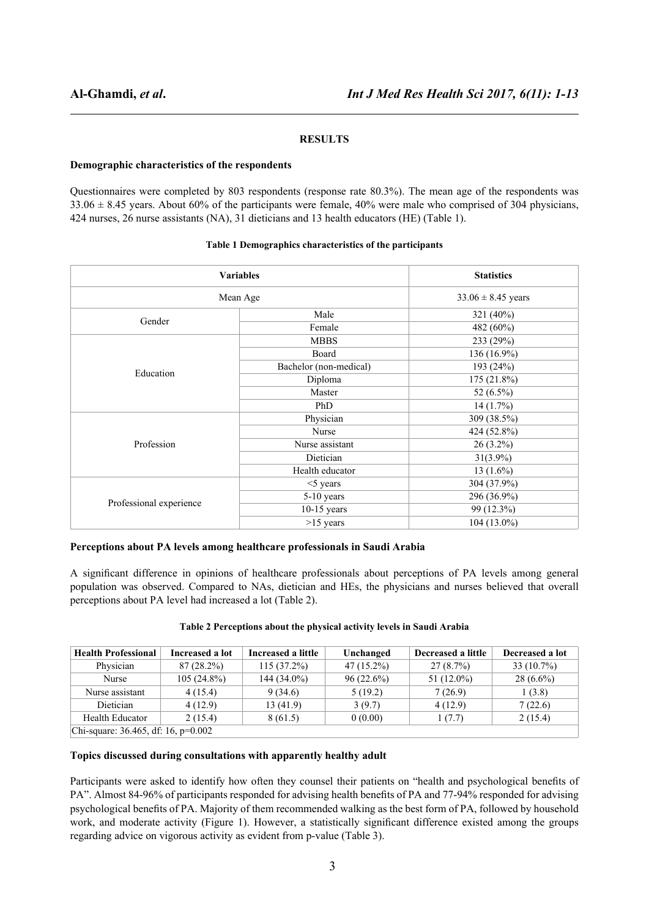### **RESULTS**

### **Demographic characteristics of the respondents**

Questionnaires were completed by 803 respondents (response rate 80.3%). The mean age of the respondents was  $33.06 \pm 8.45$  years. About 60% of the participants were female, 40% were male who comprised of 304 physicians, 424 nurses, 26 nurse assistants (NA), 31 dieticians and 13 health educators (HE) (Table 1).

|                         | <b>Variables</b><br>Mean Age |               |  |
|-------------------------|------------------------------|---------------|--|
|                         |                              |               |  |
| Gender                  | Male                         | 321 (40%)     |  |
|                         | Female                       | 482 (60%)     |  |
|                         | <b>MBBS</b>                  | 233 (29%)     |  |
|                         | Board                        | 136 (16.9%)   |  |
| Education               | Bachelor (non-medical)       | 193 (24%)     |  |
|                         | Diploma                      | 175 (21.8%)   |  |
|                         | Master                       | 52 $(6.5\%)$  |  |
|                         | PhD                          | 14(1.7%)      |  |
|                         | Physician                    | 309 (38.5%)   |  |
|                         | Nurse                        | 424 (52.8%)   |  |
| Profession              | Nurse assistant              | $26(3.2\%)$   |  |
|                         | Dietician                    | $31(3.9\%)$   |  |
|                         | Health educator              | 13 $(1.6\%)$  |  |
|                         | $<$ 5 years                  | 304 (37.9%)   |  |
|                         | 5-10 years                   | 296 (36.9%)   |  |
| Professional experience | $10-15$ years                | 99 (12.3%)    |  |
|                         | $>15$ years                  | $104(13.0\%)$ |  |

### **Table 1 Demographics characteristics of the participants**

### **Perceptions about PA levels among healthcare professionals in Saudi Arabia**

A significant difference in opinions of healthcare professionals about perceptions of PA levels among general population was observed. Compared to NAs, dietician and HEs, the physicians and nurses believed that overall perceptions about PA level had increased a lot (Table 2).

| <b>Health Professional</b> | Increased a lot | Increased a little | Unchanged    | Decreased a little | Decreased a lot |
|----------------------------|-----------------|--------------------|--------------|--------------------|-----------------|
| Physician                  | $87(28.2\%)$    | $115(37.2\%)$      | $47(15.2\%)$ | $27(8.7\%)$        | $33(10.7\%)$    |
| Nurse                      | $105(24.8\%)$   | $144(34.0\%)$      | $96(22.6\%)$ | 51 $(12.0\%)$      | $28(6.6\%)$     |
| Nurse assistant            | 4(15.4)         | 9 (34.6)           | 5(19.2)      | 7(26.9)            | 1(3.8)          |
| Dietician                  | 4(12.9)         | 13(41.9)           | 3(9.7)       | 4(12.9)            | 7(22.6)         |
| <b>Health Educator</b>     | 2(15.4)         | 8 (61.5)           | 0(0.00)      | 1(7.7)             | 2(15.4)         |

### **Table 2 Perceptions about the physical activity levels in Saudi Arabia**

# **Topics discussed during consultations with apparently healthy adult**

Chi-square: 36.465, df: 16, p=0.002

Participants were asked to identify how often they counsel their patients on "health and psychological benefits of PA". Almost 84-96% of participants responded for advising health benefits of PA and 77-94% responded for advising psychological benefits of PA. Majority of them recommended walking as the best form of PA, followed by household work, and moderate activity (Figure 1). However, a statistically significant difference existed among the groups regarding advice on vigorous activity as evident from p-value (Table 3).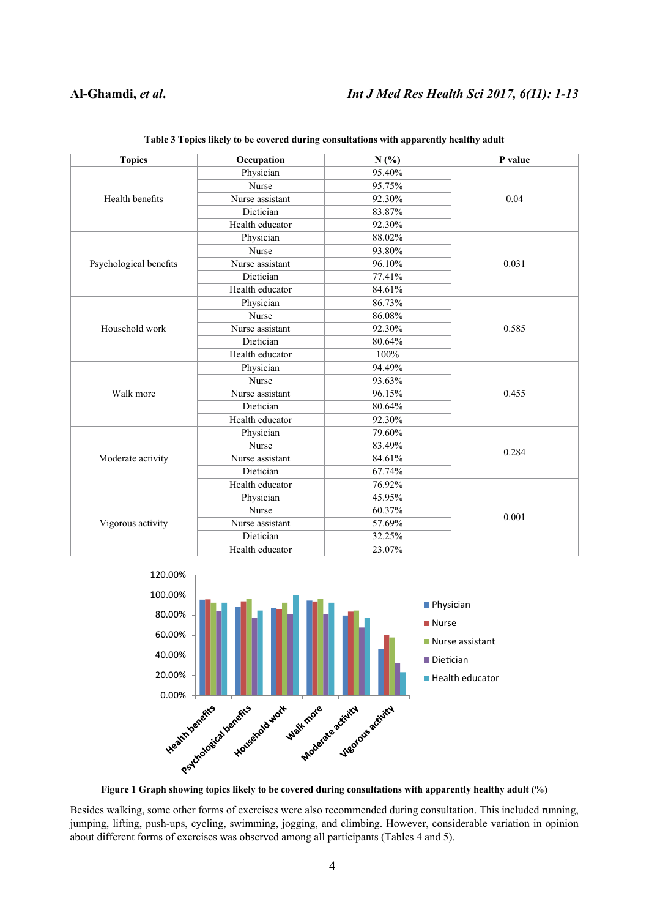| <b>Topics</b>          | Occupation<br>N(%) |        | P value |  |
|------------------------|--------------------|--------|---------|--|
|                        | Physician          | 95.40% |         |  |
|                        | Nurse              | 95.75% |         |  |
| Health benefits        | Nurse assistant    | 92.30% | 0.04    |  |
|                        | Dietician          | 83.87% |         |  |
|                        | Health educator    | 92.30% |         |  |
|                        | Physician          | 88.02% |         |  |
|                        | Nurse              | 93.80% |         |  |
| Psychological benefits | Nurse assistant    | 96.10% | 0.031   |  |
|                        | Dietician          | 77.41% |         |  |
|                        | Health educator    | 84.61% |         |  |
|                        | Physician          | 86.73% |         |  |
|                        | Nurse              | 86.08% |         |  |
| Household work         | Nurse assistant    | 92.30% | 0.585   |  |
|                        | Dietician          | 80.64% |         |  |
|                        | Health educator    | 100%   |         |  |
|                        | Physician          | 94.49% |         |  |
|                        | Nurse              | 93.63% |         |  |
| Walk more              | Nurse assistant    | 96.15% | 0.455   |  |
|                        | Dietician          | 80.64% |         |  |
|                        | Health educator    | 92.30% |         |  |
|                        | Physician          | 79.60% |         |  |
|                        | <b>Nurse</b>       | 83.49% | 0.284   |  |
| Moderate activity      | Nurse assistant    | 84.61% |         |  |
|                        | Dietician          | 67.74% |         |  |
|                        | Health educator    | 76.92% |         |  |
|                        | Physician          | 45.95% |         |  |
|                        | Nurse              | 60.37% | 0.001   |  |
| Vigorous activity      | Nurse assistant    | 57.69% |         |  |
|                        | Dietician          | 32.25% |         |  |
|                        | Health educator    | 23.07% |         |  |

**Table 3 Topics likely to be covered during consultations with apparently healthy adult**



**Figure 1 Graph showing topics likely to be covered during consultations with apparently healthy adult (%)**

Besides walking, some other forms of exercises were also recommended during consultation. This included running, jumping, lifting, push-ups, cycling, swimming, jogging, and climbing. However, considerable variation in opinion about different forms of exercises was observed among all participants (Tables 4 and 5).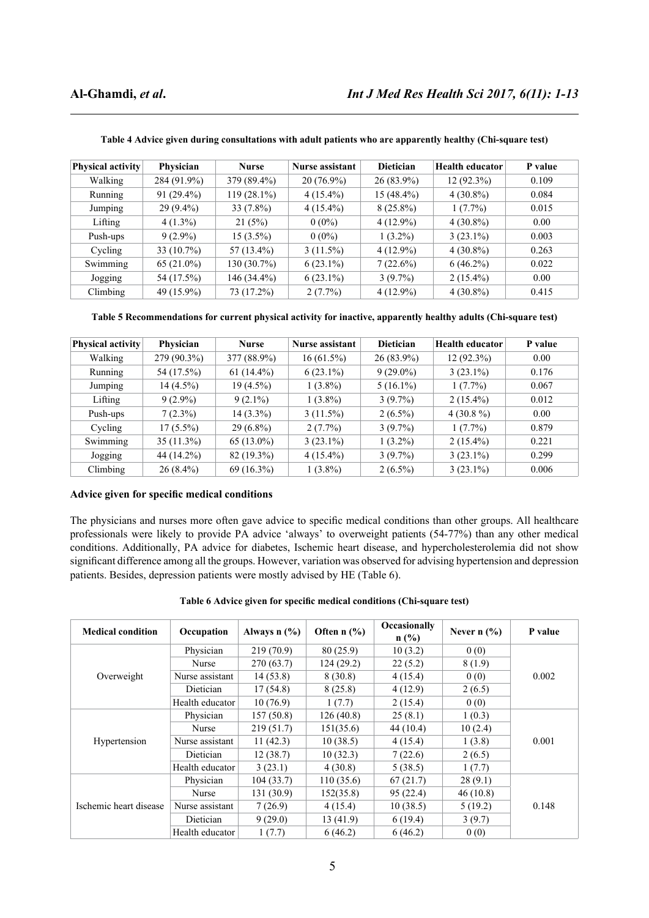| <b>Physical activity</b> | Physician     | <b>Nurse</b>  | Nurse assistant | <b>Dietician</b> | <b>Health educator</b> | P value |
|--------------------------|---------------|---------------|-----------------|------------------|------------------------|---------|
| Walking                  | 284 (91.9%)   | 379 (89.4%)   | $20(76.9\%)$    | $26(83.9\%)$     | $12(92.3\%)$           | 0.109   |
| Running                  | $91(29.4\%)$  | $119(28.1\%)$ | $4(15.4\%)$     | $15(48.4\%)$     | $4(30.8\%)$            | 0.084   |
| Jumping                  | $29(9.4\%)$   | $33(7.8\%)$   | $4(15.4\%)$     | $8(25.8\%)$      | 1(7.7%)                | 0.015   |
| Lifting                  | $4(1.3\%)$    | 21(5%)        | $0(0\%)$        | $4(12.9\%)$      | $4(30.8\%)$            | 0.00    |
| Push-ups                 | $9(2.9\%)$    | $15(3.5\%)$   | $0(0\%)$        | $1(3.2\%)$       | $3(23.1\%)$            | 0.003   |
| Cycling                  | $33(10.7\%)$  | $57(13.4\%)$  | $3(11.5\%)$     | $4(12.9\%)$      | $4(30.8\%)$            | 0.263   |
| Swimming                 | 65 $(21.0\%)$ | 130 (30.7%)   | $6(23.1\%)$     | 7(22.6%)         | $6(46.2\%)$            | 0.022   |
| Jogging                  | 54 (17.5%)    | $146(34.4\%)$ | $6(23.1\%)$     | $3(9.7\%)$       | $2(15.4\%)$            | 0.00    |
| Climbing                 | 49 (15.9%)    | 73 (17.2%)    | $2(7.7\%)$      | $4(12.9\%)$      | $4(30.8\%)$            | 0.415   |

**Table 4 Advice given during consultations with adult patients who are apparently healthy (Chi-square test)**

**Table 5 Recommendations for current physical activity for inactive, apparently healthy adults (Chi-square test)**

| <b>Physical activity</b> | Physician    | <b>Nurse</b> | <b>Nurse assistant</b> | <b>Dietician</b> | <b>Health educator</b> | P value |
|--------------------------|--------------|--------------|------------------------|------------------|------------------------|---------|
| Walking                  | 279 (90.3%)  | 377 (88.9%)  | $16(61.5\%)$           | $26(83.9\%)$     | $12(92.3\%)$           | 0.00    |
| Running                  | 54 (17.5%)   | $61(14.4\%)$ | $6(23.1\%)$            | $9(29.0\%)$      | $3(23.1\%)$            | 0.176   |
| Jumping                  | $14(4.5\%)$  | $19(4.5\%)$  | $1(3.8\%)$             | $5(16.1\%)$      | $1(7.7\%)$             | 0.067   |
| Lifting                  | $9(2.9\%)$   | $9(2.1\%)$   | $1(3.8\%)$             | $3(9.7\%)$       | $2(15.4\%)$            | 0.012   |
| Push-ups                 | $7(2.3\%)$   | $14(3.3\%)$  | $3(11.5\%)$            | $2(6.5\%)$       | $4(30.8\%)$            | 0.00    |
| Cycling                  | $17(5.5\%)$  | $29(6.8\%)$  | $2(7.7\%)$             | $3(9.7\%)$       | $1(7.7\%)$             | 0.879   |
| Swimming                 | $35(11.3\%)$ | $65(13.0\%)$ | $3(23.1\%)$            | $1(3.2\%)$       | $2(15.4\%)$            | 0.221   |
| Jogging                  | 44 (14.2%)   | 82 (19.3%)   | $4(15.4\%)$            | $3(9.7\%)$       | $3(23.1\%)$            | 0.299   |
| Climbing                 | $26(8.4\%)$  | $69(16.3\%)$ | $1(3.8\%)$             | $2(6.5\%)$       | $3(23.1\%)$            | 0.006   |

### **Advice given for specific medical conditions**

The physicians and nurses more often gave advice to specific medical conditions than other groups. All healthcare professionals were likely to provide PA advice 'always' to overweight patients (54-77%) than any other medical conditions. Additionally, PA advice for diabetes, Ischemic heart disease, and hypercholesterolemia did not show significant difference among all the groups. However, variation was observed for advising hypertension and depression patients. Besides, depression patients were mostly advised by HE (Table 6).

| <b>Medical condition</b> | Occupation      | Always $n$ $\left(\frac{9}{6}\right)$ | Often $n$ (%) | Occasionally<br>$n$ (%) | Never $n$ $\left(\frac{9}{6}\right)$ | P value |  |
|--------------------------|-----------------|---------------------------------------|---------------|-------------------------|--------------------------------------|---------|--|
|                          | Physician       | 219(70.9)                             | 80(25.9)      | 10(3.2)                 | 0(0)                                 |         |  |
|                          | Nurse           | 270(63.7)                             | 124(29.2)     | 22(5.2)                 | 8(1.9)                               |         |  |
| Overweight               | Nurse assistant | 14(53.8)                              | 8(30.8)       | 4(15.4)                 | 0(0)                                 | 0.002   |  |
|                          | Dietician       | 17(54.8)                              | 8(25.8)       | 4(12.9)                 | 2(6.5)                               |         |  |
|                          | Health educator | 10(76.9)                              | 1(7.7)        | 2(15.4)                 | 0(0)                                 |         |  |
|                          | Physician       | 157(50.8)                             | 126(40.8)     | 25(8.1)                 | 1(0.3)                               |         |  |
|                          | Nurse           | 219(51.7)                             | 151(35.6)     | 44(10.4)                | 10(2.4)                              |         |  |
| Hypertension             | Nurse assistant | 11(42.3)                              | 10(38.5)      | 4(15.4)                 | 1(3.8)                               | 0.001   |  |
|                          | Dietician       | 12(38.7)                              | 10(32.3)      | 7(22.6)                 | 2(6.5)                               |         |  |
|                          | Health educator | 3(23.1)                               | 4(30.8)       | 5(38.5)                 | 1(7.7)                               |         |  |
|                          | Physician       | 104(33.7)                             | 110(35.6)     | 67(21.7)                | 28(9.1)                              |         |  |
| Ischemic heart disease   | Nurse           | 131(30.9)                             | 152(35.8)     | 95(22.4)                | 46(10.8)                             |         |  |
|                          | Nurse assistant | 7(26.9)                               | 4(15.4)       | 10(38.5)                | 5(19.2)                              | 0.148   |  |
|                          | Dietician       | 9(29.0)                               | 13(41.9)      | 6(19.4)                 | 3(9.7)                               |         |  |
|                          | Health educator | 1(7.7)                                | 6(46.2)       | 6(46.2)                 | 0(0)                                 |         |  |

**Table 6 Advice given for specific medical conditions (Chi-square test)**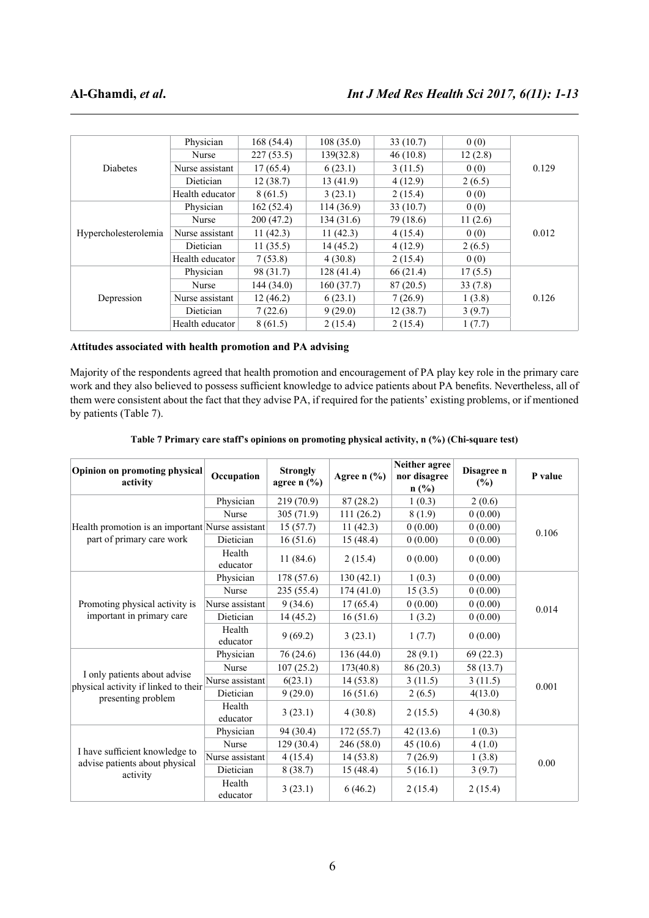|                      | Physician       | 168(54.4) | 108(35.0) | 33(10.7)  | 0(0)    |       |
|----------------------|-----------------|-----------|-----------|-----------|---------|-------|
|                      | Nurse           | 227(53.5) | 139(32.8) | 46(10.8)  | 12(2.8) |       |
| Diabetes             | Nurse assistant | 17(65.4)  | 6(23.1)   | 3(11.5)   | 0(0)    | 0.129 |
|                      | Dietician       | 12(38.7)  | 13(41.9)  | 4(12.9)   | 2(6.5)  |       |
|                      | Health educator | 8(61.5)   | 3(23.1)   | 2(15.4)   | 0(0)    |       |
|                      | Physician       | 162(52.4) | 114(36.9) | 33(10.7)  | 0(0)    |       |
|                      | Nurse           | 200(47.2) | 134(31.6) | 79 (18.6) | 11(2.6) |       |
| Hypercholesterolemia | Nurse assistant | 11(42.3)  | 11(42.3)  | 4(15.4)   | 0(0)    | 0.012 |
|                      | Dietician       | 11(35.5)  | 14(45.2)  | 4(12.9)   | 2(6.5)  |       |
|                      | Health educator | 7(53.8)   | 4(30.8)   | 2(15.4)   | 0(0)    |       |
|                      | Physician       | 98 (31.7) | 128(41.4) | 66 (21.4) | 17(5.5) |       |
|                      | Nurse           | 144(34.0) | 160(37.7) | 87(20.5)  | 33(7.8) |       |
| Depression           | Nurse assistant | 12(46.2)  | 6(23.1)   | 7(26.9)   | 1(3.8)  | 0.126 |
|                      | Dietician       | 7(22.6)   | 9(29.0)   | 12(38.7)  | 3(9.7)  |       |
|                      | Health educator | 8(61.5)   | 2(15.4)   | 2(15.4)   | 1(7.7)  |       |

### **Attitudes associated with health promotion and PA advising**

Majority of the respondents agreed that health promotion and encouragement of PA play key role in the primary care work and they also believed to possess sufficient knowledge to advice patients about PA benefits. Nevertheless, all of them were consistent about the fact that they advise PA, if required for the patients' existing problems, or if mentioned by patients (Table 7).

| Opinion on promoting physical<br>activity                                    | Occupation         | <b>Strongly</b><br>agree $n$ (%) | Agree $n$ (%) | Neither agree<br>nor disagree<br>$n$ (%) | Disagree n<br>$(\%)$ | P value |
|------------------------------------------------------------------------------|--------------------|----------------------------------|---------------|------------------------------------------|----------------------|---------|
|                                                                              | Physician          | 219 (70.9)                       | 87(28.2)      | 1(0.3)                                   | 2(0.6)               |         |
|                                                                              | Nurse              | 305(71.9)                        | 111(26.2)     | 8(1.9)                                   | 0(0.00)              |         |
| Health promotion is an important Nurse assistant                             |                    | 15(57.7)                         | 11(42.3)      | 0(0.00)                                  | 0(0.00)              | 0.106   |
| part of primary care work                                                    | Dietician          | 16(51.6)                         | 15(48.4)      | 0(0.00)                                  | 0(0.00)              |         |
|                                                                              | Health<br>educator | 11(84.6)                         | 2(15.4)       | 0(0.00)                                  | 0(0.00)              |         |
|                                                                              | Physician          | 178 (57.6)                       | 130(42.1)     | 1(0.3)                                   | 0(0.00)              |         |
|                                                                              | Nurse              | 235(55.4)                        | 174(41.0)     | 15(3.5)                                  | 0(0.00)              |         |
| Promoting physical activity is                                               | Nurse assistant    | 9(34.6)                          | 17(65.4)      | 0(0.00)                                  | 0(0.00)              | 0.014   |
| important in primary care                                                    | Dietician          | 14(45.2)                         | 16(51.6)      | 1(3.2)                                   | 0(0.00)              |         |
|                                                                              | Health<br>educator | 9(69.2)                          | 3(23.1)       | 1(7.7)                                   | 0(0.00)              |         |
|                                                                              | Physician          | 76(24.6)                         | 136(44.0)     | 28(9.1)                                  | 69(22.3)             |         |
|                                                                              | Nurse              | 107(25.2)                        | 173(40.8)     | 86(20.3)                                 | 58 (13.7)            |         |
| I only patients about advise<br>physical activity if linked to their         | Nurse assistant    | 6(23.1)                          | 14(53.8)      | 3(11.5)                                  | 3(11.5)              | 0.001   |
| presenting problem                                                           | Dietician          | 9(29.0)                          | 16(51.6)      | 2(6.5)                                   | 4(13.0)              |         |
|                                                                              | Health<br>educator | 3(23.1)                          | 4(30.8)       | 2(15.5)                                  | 4(30.8)              |         |
|                                                                              | Physician          | 94 (30.4)                        | 172(55.7)     | 42(13.6)                                 | 1(0.3)               |         |
| I have sufficient knowledge to<br>advise patients about physical<br>activity | <b>Nurse</b>       | 129(30.4)                        | 246 (58.0)    | 45(10.6)                                 | 4(1.0)               |         |
|                                                                              | Nurse assistant    | 4(15.4)                          | 14(53.8)      | 7(26.9)                                  | 1(3.8)               | 0.00    |
|                                                                              | Dietician          | 8(38.7)                          | 15(48.4)      | 5(16.1)                                  | 3(9.7)               |         |
|                                                                              | Health<br>educator | 3(23.1)                          | 6(46.2)       | 2(15.4)                                  | 2(15.4)              |         |

### **Table 7 Primary care staff's opinions on promoting physical activity, n (%) (Chi-square test)**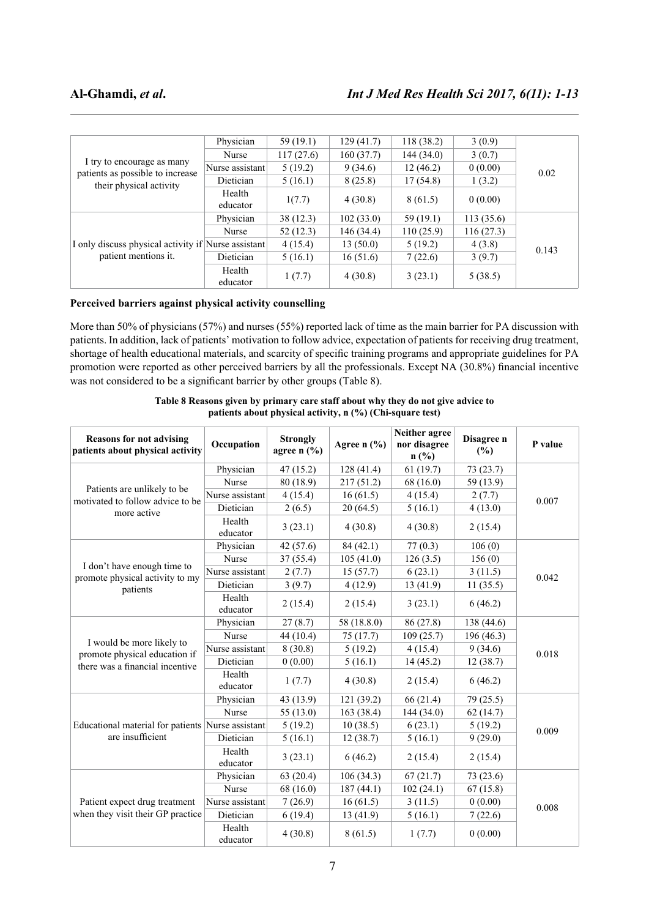|                                                                             | Physician          | 59 (19.1) | 129(41.7)  | 118 (38.2) | 3(0.9)    |       |
|-----------------------------------------------------------------------------|--------------------|-----------|------------|------------|-----------|-------|
|                                                                             | Nurse              | 117(27.6) | 160(37.7)  | 144(34.0)  | 3(0.7)    |       |
| I try to encourage as many                                                  | Nurse assistant    | 5(19.2)   | 9(34.6)    | 12(46.2)   | 0(0.00)   | 0.02  |
| patients as possible to increase<br>their physical activity                 | Dietician          | 5(16.1)   | 8(25.8)    | 17(54.8)   | 1(3.2)    |       |
|                                                                             | Health<br>educator | 1(7.7)    | 4(30.8)    | 8(61.5)    | 0(0.00)   |       |
|                                                                             | Physician          | 38(12.3)  | 102(33.0)  | 59(19.1)   | 113(35.6) |       |
|                                                                             | Nurse              | 52(12.3)  | 146 (34.4) | 110(25.9)  | 116(27.3) |       |
| I only discuss physical activity if Nurse assistant<br>patient mentions it. |                    | 4(15.4)   | 13(50.0)   | 5(19.2)    | 4(3.8)    | 0.143 |
|                                                                             | Dietician          | 5(16.1)   | 16(51.6)   | 7(22.6)    | 3(9.7)    |       |
|                                                                             | Health<br>educator | 1(7.7)    | 4(30.8)    | 3(23.1)    | 5(38.5)   |       |

### **Perceived barriers against physical activity counselling**

More than 50% of physicians (57%) and nurses (55%) reported lack of time as the main barrier for PA discussion with patients. In addition, lack of patients' motivation to follow advice, expectation of patients for receiving drug treatment, shortage of health educational materials, and scarcity of specific training programs and appropriate guidelines for PA promotion were reported as other perceived barriers by all the professionals. Except NA (30.8%) financial incentive was not considered to be a significant barrier by other groups (Table 8).

| <b>Reasons for not advising</b><br>patients about physical activity | Occupation         | <b>Strongly</b><br>agree $n$ (%) | Agree $n$ (%) | Neither agree<br>nor disagree<br>n(%) | Disagree n<br>(%) | P value |
|---------------------------------------------------------------------|--------------------|----------------------------------|---------------|---------------------------------------|-------------------|---------|
|                                                                     | Physician          | 47(15.2)                         | 128(41.4)     | 61(19.7)                              | 73(23.7)          |         |
|                                                                     | Nurse              | 80 (18.9)                        | 217(51.2)     | 68 (16.0)                             | 59 (13.9)         |         |
| Patients are unlikely to be<br>motivated to follow advice to be     | Nurse assistant    | 4(15.4)                          | 16(61.5)      | 4(15.4)                               | 2(7.7)            | 0.007   |
| more active                                                         | Dietician          | 2(6.5)                           | 20(64.5)      | 5(16.1)                               | 4(13.0)           |         |
|                                                                     | Health<br>educator | 3(23.1)                          | 4(30.8)       | 4(30.8)                               | 2(15.4)           |         |
|                                                                     | Physician          | 42 (57.6)                        | 84(42.1)      | 77(0.3)                               | 106(0)            |         |
|                                                                     | Nurse              | 37(55.4)                         | 105(41.0)     | 126(3.5)                              | 156(0)            |         |
| I don't have enough time to<br>promote physical activity to my      | Nurse assistant    | 2(7.7)                           | 15(57.7)      | 6(23.1)                               | 3(11.5)           | 0.042   |
| patients                                                            | Dietician          | 3(9.7)                           | 4(12.9)       | 13 (41.9)                             | 11(35.5)          |         |
|                                                                     | Health<br>educator | 2(15.4)                          | 2(15.4)       | 3(23.1)                               | 6(46.2)           |         |
|                                                                     | Physician          | 27(8.7)                          | 58 (18.8.0)   | 86 (27.8)                             | 138 (44.6)        |         |
|                                                                     | Nurse              | 44 (10.4)                        | 75(17.7)      | 109(25.7)                             | 196 (46.3)        |         |
| I would be more likely to<br>promote physical education if          | Nurse assistant    | 8(30.8)                          | 5(19.2)       | 4(15.4)                               | 9(34.6)           | 0.018   |
| there was a financial incentive                                     | Dietician          | 0(0.00)                          | 5(16.1)       | 14(45.2)                              | 12(38.7)          |         |
|                                                                     | Health<br>educator | 1(7.7)                           | 4(30.8)       | 2(15.4)                               | 6(46.2)           |         |
|                                                                     | Physician          | 43 (13.9)                        | 121 (39.2)    | 66(21.4)                              | 79 (25.5)         |         |
|                                                                     | Nurse              | 55 $(13.0)$                      | 163 (38.4)    | 144 (34.0)                            | 62(14.7)          |         |
| Educational material for patients Nurse assistant                   |                    | 5(19.2)                          | 10(38.5)      | 6(23.1)                               | 5(19.2)           | 0.009   |
| are insufficient                                                    | Dietician          | 5(16.1)                          | 12(38.7)      | 5(16.1)                               | 9(29.0)           |         |
|                                                                     | Health<br>educator | 3(23.1)                          | 6(46.2)       | 2(15.4)                               | 2(15.4)           |         |
| Patient expect drug treatment                                       | Physician          | 63(20.4)                         | 106(34.3)     | 67(21.7)                              | 73 (23.6)         |         |
|                                                                     | Nurse              | 68 (16.0)                        | 187(44.1)     | 102(24.1)                             | 67(15.8)          |         |
|                                                                     | Nurse assistant    | 7(26.9)                          | 16(61.5)      | 3(11.5)                               | 0(0.00)           | 0.008   |
| when they visit their GP practice                                   | Dietician          | 6(19.4)                          | 13(41.9)      | 5(16.1)                               | 7(22.6)           |         |
|                                                                     | Health<br>educator | 4(30.8)                          | 8(61.5)       | 1(7.7)                                | 0(0.00)           |         |

**Table 8 Reasons given by primary care staff about why they do not give advice to patients about physical activity, n (%) (Chi-square test)**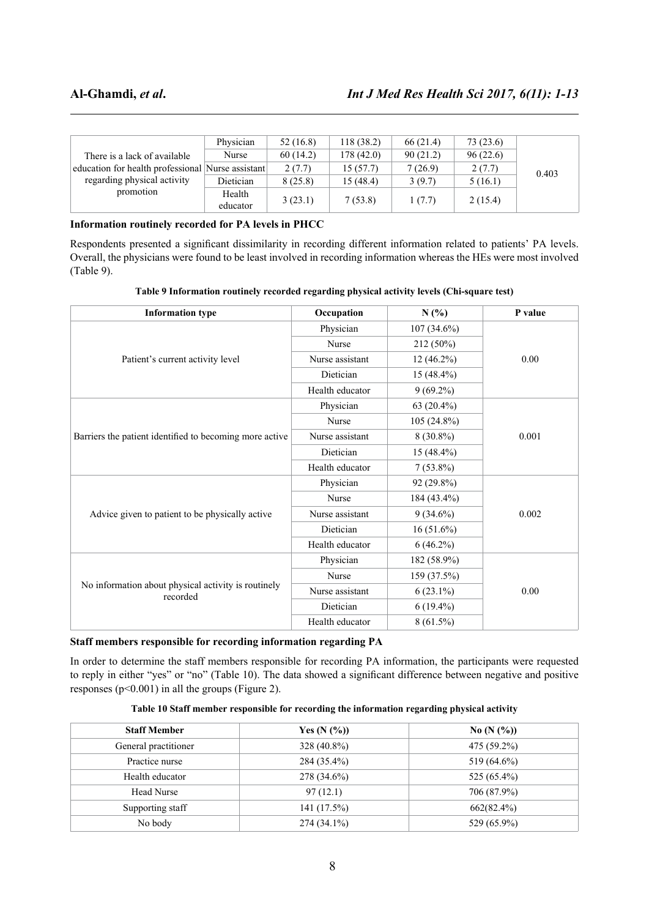|                                                   | Physician          | 52(16.8) | 118(38.2) | 66(21.4) | 73(23.6) |       |
|---------------------------------------------------|--------------------|----------|-----------|----------|----------|-------|
| There is a lack of available                      | Nurse              | 60(14.2) | 178(42.0) | 90(21.2) | 96(22.6) |       |
| education for health professional Nurse assistant |                    | 2(7.7)   | 15(57.7)  | 7(26.9)  | 2(7.7)   | 0.403 |
| regarding physical activity                       | Dietician          | 8(25.8)  | 15(48.4)  | 3(9.7)   | 5(16.1)  |       |
| promotion                                         | Health<br>educator | 3(23.1)  | 7(53.8)   | 1(7.7)   | 2(15.4)  |       |

### **Information routinely recorded for PA levels in PHCC**

Respondents presented a significant dissimilarity in recording different information related to patients' PA levels. Overall, the physicians were found to be least involved in recording information whereas the HEs were most involved (Table 9).

|  | Table 9 Information routinely recorded regarding physical activity levels (Chi-square test) |
|--|---------------------------------------------------------------------------------------------|
|  |                                                                                             |
|  |                                                                                             |

| <b>Information type</b>                                         | Occupation      | N(%)          | P value |
|-----------------------------------------------------------------|-----------------|---------------|---------|
| Patient's current activity level                                | Physician       | $107(34.6\%)$ | 0.00    |
|                                                                 | Nurse           | 212 (50%)     |         |
|                                                                 | Nurse assistant | $12(46.2\%)$  |         |
|                                                                 | Dietician       | $15(48.4\%)$  |         |
|                                                                 | Health educator | $9(69.2\%)$   |         |
| Barriers the patient identified to becoming more active         | Physician       | 63 $(20.4\%)$ | 0.001   |
|                                                                 | Nurse           | $105(24.8\%)$ |         |
|                                                                 | Nurse assistant | $8(30.8\%)$   |         |
|                                                                 | Dietician       | $15(48.4\%)$  |         |
|                                                                 | Health educator | $7(53.8\%)$   |         |
| Advice given to patient to be physically active                 | Physician       | $92(29.8\%)$  | 0.002   |
|                                                                 | Nurse           | 184 (43.4%)   |         |
|                                                                 | Nurse assistant | $9(34.6\%)$   |         |
|                                                                 | Dietician       | $16(51.6\%)$  |         |
|                                                                 | Health educator | $6(46.2\%)$   |         |
| No information about physical activity is routinely<br>recorded | Physician       | 182 (58.9%)   | 0.00    |
|                                                                 | Nurse           | 159 (37.5%)   |         |
|                                                                 | Nurse assistant | $6(23.1\%)$   |         |
|                                                                 | Dietician       | $6(19.4\%)$   |         |
|                                                                 | Health educator | $8(61.5\%)$   |         |

### **Staff members responsible for recording information regarding PA**

In order to determine the staff members responsible for recording PA information, the participants were requested to reply in either "yes" or "no" (Table 10). The data showed a significant difference between negative and positive responses ( $p<0.001$ ) in all the groups (Figure 2).

| Table 10 Staff member responsible for recording the information regarding physical activity |  |  |  |
|---------------------------------------------------------------------------------------------|--|--|--|
|---------------------------------------------------------------------------------------------|--|--|--|

| <b>Staff Member</b>  | Yes $(N (%))$ | No $(N (%))$   |
|----------------------|---------------|----------------|
| General practitioner | $328(40.8\%)$ | 475 (59.2%)    |
| Practice nurse       | 284 (35.4%)   | 519 (64.6%)    |
| Health educator      | 278 (34.6%)   | 525 $(65.4\%)$ |
| <b>Head Nurse</b>    | 97(12.1)      | 706 (87.9%)    |
| Supporting staff     | 141(17.5%)    | 662(82.4%)     |
| No body              | $274(34.1\%)$ | 529 (65.9%)    |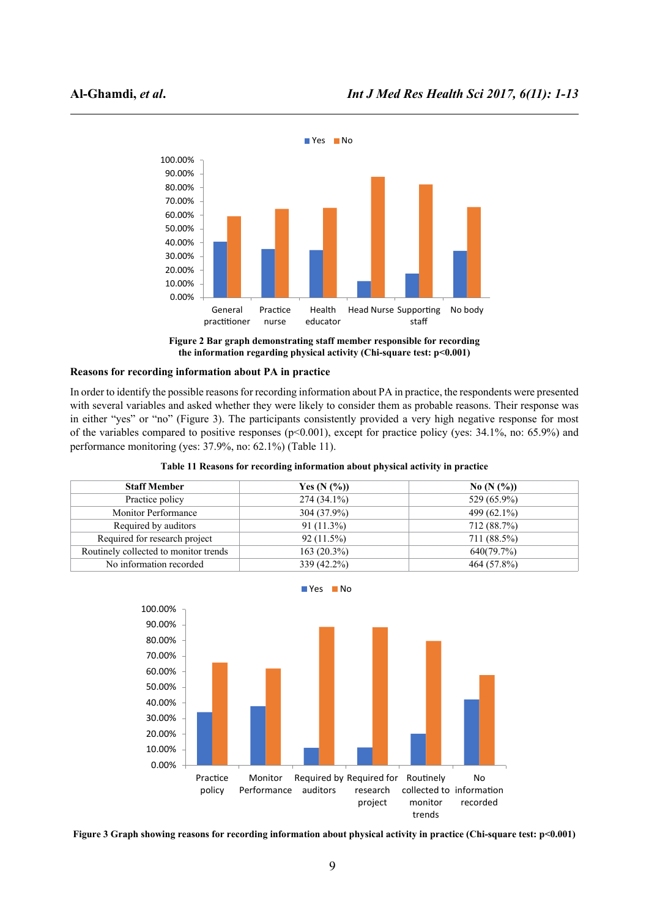

**Figure 2 Bar graph demonstrating staff member responsible for recording the information regarding physical activity (Chi-square test: p<0.001)**

### **Reasons for recording information about PA in practice**

In order to identify the possible reasons for recording information about PA in practice, the respondents were presented with several variables and asked whether they were likely to consider them as probable reasons. Their response was in either "yes" or "no" (Figure 3). The participants consistently provided a very high negative response for most of the variables compared to positive responses  $(p<0.001)$ , except for practice policy (yes: 34.1%, no: 65.9%) and performance monitoring (yes: 37.9%, no: 62.1%) (Table 11).

| <b>Staff Member</b>                   | Yes $(N (%))$ | No $(N (%))$   |
|---------------------------------------|---------------|----------------|
| Practice policy                       | $274(34.1\%)$ | 529 (65.9%)    |
| <b>Monitor Performance</b>            | 304 (37.9%)   | 499 $(62.1\%)$ |
| Required by auditors                  | $91(11.3\%)$  | 712 (88.7%)    |
| Required for research project         | 92(11.5%)     | 711 (88.5%)    |
| Routinely collected to monitor trends | 163(20.3%)    | 640(79.7%)     |
| No information recorded               | 339 (42.2%)   | 464 (57.8%)    |





**Figure 3 Graph showing reasons for recording information about physical activity in practice (Chi-square test: p<0.001)**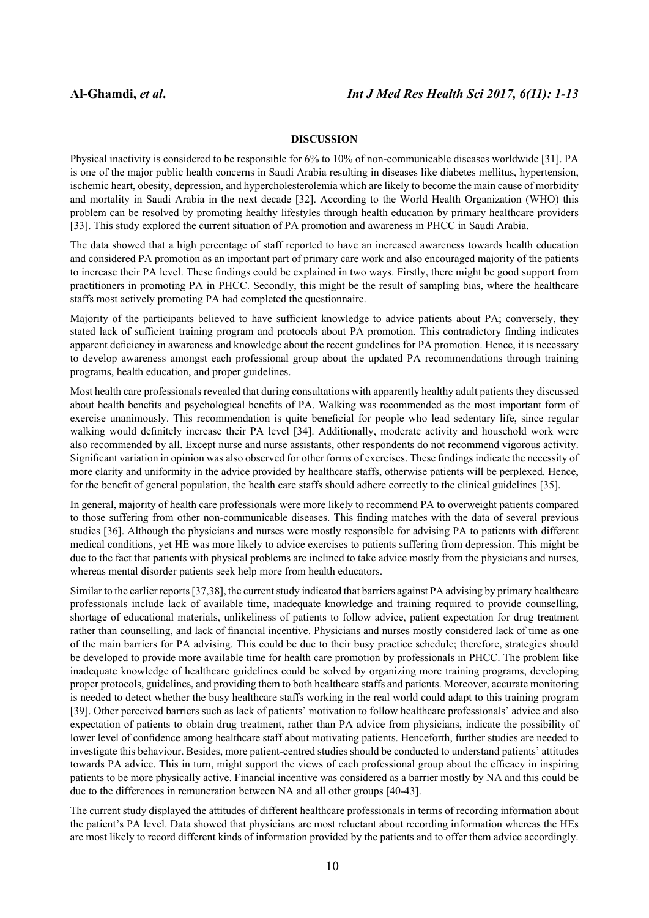### **DISCUSSION**

Physical inactivity is considered to be responsible for 6% to 10% of non-communicable diseases worldwide [31]. PA is one of the major public health concerns in Saudi Arabia resulting in diseases like diabetes mellitus, hypertension, ischemic heart, obesity, depression, and hypercholesterolemia which are likely to become the main cause of morbidity and mortality in Saudi Arabia in the next decade [32]. According to the World Health Organization (WHO) this problem can be resolved by promoting healthy lifestyles through health education by primary healthcare providers [33]. This study explored the current situation of PA promotion and awareness in PHCC in Saudi Arabia.

The data showed that a high percentage of staff reported to have an increased awareness towards health education and considered PA promotion as an important part of primary care work and also encouraged majority of the patients to increase their PA level. These findings could be explained in two ways. Firstly, there might be good support from practitioners in promoting PA in PHCC. Secondly, this might be the result of sampling bias, where the healthcare staffs most actively promoting PA had completed the questionnaire.

Majority of the participants believed to have sufficient knowledge to advice patients about PA; conversely, they stated lack of sufficient training program and protocols about PA promotion. This contradictory finding indicates apparent deficiency in awareness and knowledge about the recent guidelines for PA promotion. Hence, it is necessary to develop awareness amongst each professional group about the updated PA recommendations through training programs, health education, and proper guidelines.

Most health care professionals revealed that during consultations with apparently healthy adult patients they discussed about health benefits and psychological benefits of PA. Walking was recommended as the most important form of exercise unanimously. This recommendation is quite beneficial for people who lead sedentary life, since regular walking would definitely increase their PA level [34]. Additionally, moderate activity and household work were also recommended by all. Except nurse and nurse assistants, other respondents do not recommend vigorous activity. Significant variation in opinion was also observed for other forms of exercises. These findings indicate the necessity of more clarity and uniformity in the advice provided by healthcare staffs, otherwise patients will be perplexed. Hence, for the benefit of general population, the health care staffs should adhere correctly to the clinical guidelines [35].

In general, majority of health care professionals were more likely to recommend PA to overweight patients compared to those suffering from other non-communicable diseases. This finding matches with the data of several previous studies [36]. Although the physicians and nurses were mostly responsible for advising PA to patients with different medical conditions, yet HE was more likely to advice exercises to patients suffering from depression. This might be due to the fact that patients with physical problems are inclined to take advice mostly from the physicians and nurses, whereas mental disorder patients seek help more from health educators.

Similar to the earlier reports [37,38], the current study indicated that barriers against PA advising by primary healthcare professionals include lack of available time, inadequate knowledge and training required to provide counselling, shortage of educational materials, unlikeliness of patients to follow advice, patient expectation for drug treatment rather than counselling, and lack of financial incentive. Physicians and nurses mostly considered lack of time as one of the main barriers for PA advising. This could be due to their busy practice schedule; therefore, strategies should be developed to provide more available time for health care promotion by professionals in PHCC. The problem like inadequate knowledge of healthcare guidelines could be solved by organizing more training programs, developing proper protocols, guidelines, and providing them to both healthcare staffs and patients. Moreover, accurate monitoring is needed to detect whether the busy healthcare staffs working in the real world could adapt to this training program [39]. Other perceived barriers such as lack of patients' motivation to follow healthcare professionals' advice and also expectation of patients to obtain drug treatment, rather than PA advice from physicians, indicate the possibility of lower level of confidence among healthcare staff about motivating patients. Henceforth, further studies are needed to investigate this behaviour. Besides, more patient-centred studies should be conducted to understand patients' attitudes towards PA advice. This in turn, might support the views of each professional group about the efficacy in inspiring patients to be more physically active. Financial incentive was considered as a barrier mostly by NA and this could be due to the differences in remuneration between NA and all other groups [40-43].

The current study displayed the attitudes of different healthcare professionals in terms of recording information about the patient's PA level. Data showed that physicians are most reluctant about recording information whereas the HEs are most likely to record different kinds of information provided by the patients and to offer them advice accordingly.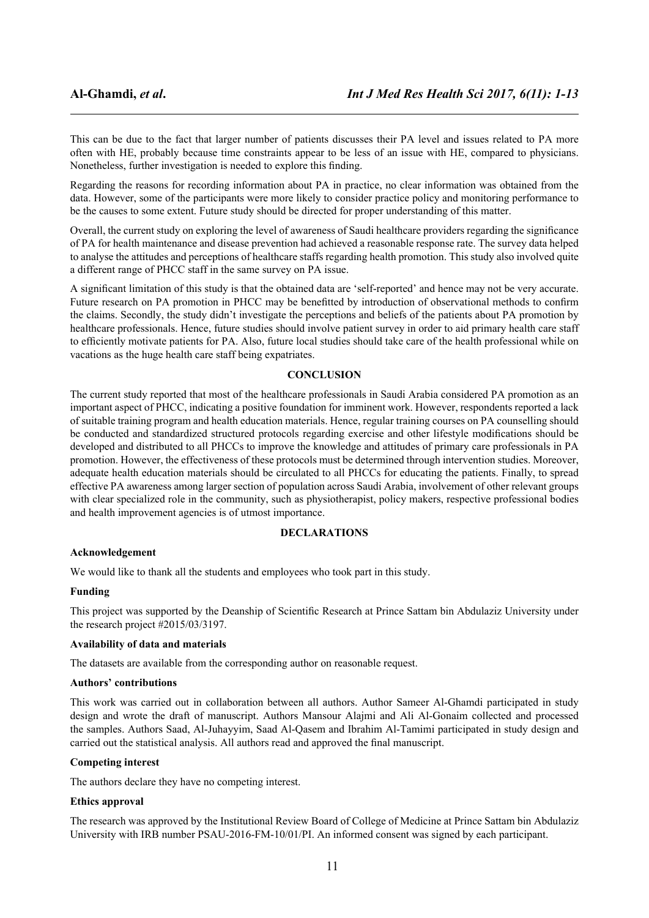This can be due to the fact that larger number of patients discusses their PA level and issues related to PA more often with HE, probably because time constraints appear to be less of an issue with HE, compared to physicians. Nonetheless, further investigation is needed to explore this finding.

Regarding the reasons for recording information about PA in practice, no clear information was obtained from the data. However, some of the participants were more likely to consider practice policy and monitoring performance to be the causes to some extent. Future study should be directed for proper understanding of this matter.

Overall, the current study on exploring the level of awareness of Saudi healthcare providers regarding the significance of PA for health maintenance and disease prevention had achieved a reasonable response rate. The survey data helped to analyse the attitudes and perceptions of healthcare staffs regarding health promotion. This study also involved quite a different range of PHCC staff in the same survey on PA issue.

A significant limitation of this study is that the obtained data are 'self-reported' and hence may not be very accurate. Future research on PA promotion in PHCC may be benefitted by introduction of observational methods to confirm the claims. Secondly, the study didn't investigate the perceptions and beliefs of the patients about PA promotion by healthcare professionals. Hence, future studies should involve patient survey in order to aid primary health care staff to efficiently motivate patients for PA. Also, future local studies should take care of the health professional while on vacations as the huge health care staff being expatriates.

### **CONCLUSION**

The current study reported that most of the healthcare professionals in Saudi Arabia considered PA promotion as an important aspect of PHCC, indicating a positive foundation for imminent work. However, respondents reported a lack of suitable training program and health education materials. Hence, regular training courses on PA counselling should be conducted and standardized structured protocols regarding exercise and other lifestyle modifications should be developed and distributed to all PHCCs to improve the knowledge and attitudes of primary care professionals in PA promotion. However, the effectiveness of these protocols must be determined through intervention studies. Moreover, adequate health education materials should be circulated to all PHCCs for educating the patients. Finally, to spread effective PA awareness among larger section of population across Saudi Arabia, involvement of other relevant groups with clear specialized role in the community, such as physiotherapist, policy makers, respective professional bodies and health improvement agencies is of utmost importance.

### **DECLARATIONS**

### **Acknowledgement**

We would like to thank all the students and employees who took part in this study.

### **Funding**

This project was supported by the Deanship of Scientific Research at Prince Sattam bin Abdulaziz University under the research project #2015/03/3197.

### **Availability of data and materials**

The datasets are available from the corresponding author on reasonable request.

### **Authors' contributions**

This work was carried out in collaboration between all authors. Author Sameer Al-Ghamdi participated in study design and wrote the draft of manuscript. Authors Mansour Alajmi and Ali Al-Gonaim collected and processed the samples. Authors Saad, Al-Juhayyim, Saad Al-Qasem and Ibrahim Al-Tamimi participated in study design and carried out the statistical analysis. All authors read and approved the final manuscript.

### **Competing interest**

The authors declare they have no competing interest.

### **Ethics approval**

The research was approved by the Institutional Review Board of College of Medicine at Prince Sattam bin Abdulaziz University with IRB number PSAU-2016-FM-10/01/PI. An informed consent was signed by each participant.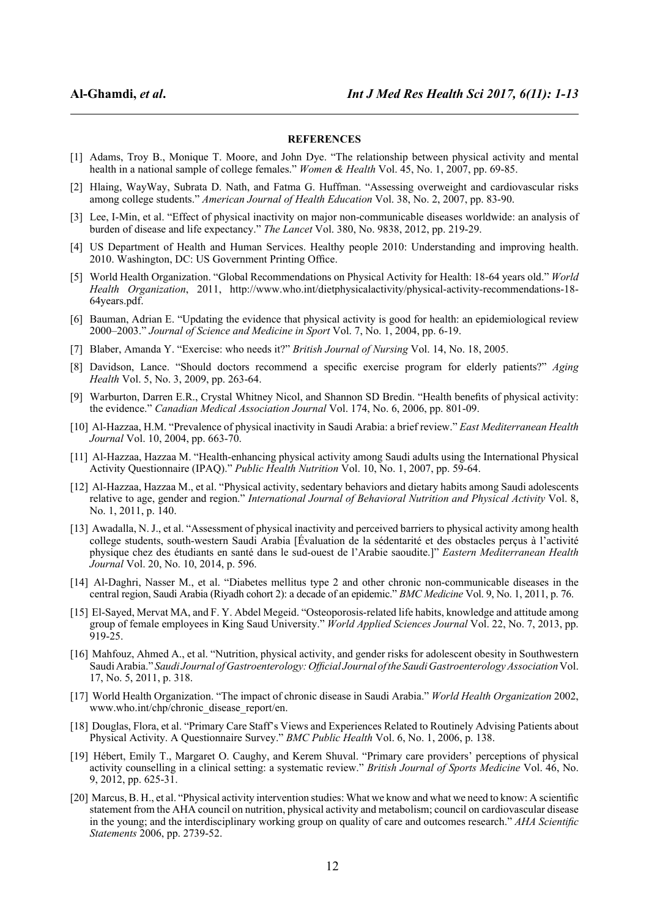### **REFERENCES**

- [1] Adams, Troy B., Monique T. Moore, and John Dye. "The relationship between physical activity and mental health in a national sample of college females." *Women & Health* Vol. 45, No. 1, 2007, pp. 69-85.
- [2] Hlaing, WayWay, Subrata D. Nath, and Fatma G. Huffman. "Assessing overweight and cardiovascular risks among college students." *American Journal of Health Education* Vol. 38, No. 2, 2007, pp. 83-90.
- [3] Lee, I-Min, et al. "Effect of physical inactivity on major non-communicable diseases worldwide: an analysis of burden of disease and life expectancy." *The Lancet* Vol. 380, No. 9838, 2012, pp. 219-29.
- [4] US Department of Health and Human Services. Healthy people 2010: Understanding and improving health. 2010. Washington, DC: US Government Printing Office.
- [5] World Health Organization. "Global Recommendations on Physical Activity for Health: 18-64 years old." *World Health Organization*, 2011, http://www.who.int/dietphysicalactivity/physical-activity-recommendations-18- 64years.pdf.
- [6] Bauman, Adrian E. "Updating the evidence that physical activity is good for health: an epidemiological review 2000–2003." *Journal of Science and Medicine in Sport* Vol. 7, No. 1, 2004, pp. 6-19.
- [7] Blaber, Amanda Y. "Exercise: who needs it?" *British Journal of Nursing* Vol. 14, No. 18, 2005.
- [8] Davidson, Lance. "Should doctors recommend a specific exercise program for elderly patients?" *Aging Health* Vol. 5, No. 3, 2009, pp. 263-64.
- [9] Warburton, Darren E.R., Crystal Whitney Nicol, and Shannon SD Bredin. "Health benefits of physical activity: the evidence." *Canadian Medical Association Journal* Vol. 174, No. 6, 2006, pp. 801-09.
- [10] Al-Hazzaa, H.M. "Prevalence of physical inactivity in Saudi Arabia: a brief review." *East Mediterranean Health Journal* Vol. 10, 2004, pp. 663-70.
- [11] Al-Hazzaa, Hazzaa M. "Health-enhancing physical activity among Saudi adults using the International Physical Activity Questionnaire (IPAQ)." *Public Health Nutrition* Vol. 10, No. 1, 2007, pp. 59-64.
- [12] Al-Hazzaa, Hazzaa M., et al. "Physical activity, sedentary behaviors and dietary habits among Saudi adolescents relative to age, gender and region." *International Journal of Behavioral Nutrition and Physical Activity* Vol. 8, No. 1, 2011, p. 140.
- [13] Awadalla, N. J., et al. "Assessment of physical inactivity and perceived barriers to physical activity among health college students, south-western Saudi Arabia [Évaluation de la sédentarité et des obstacles perçus à l'activité physique chez des étudiants en santé dans le sud-ouest de l'Arabie saoudite.]" *Eastern Mediterranean Health Journal* Vol. 20, No. 10, 2014, p. 596.
- [14] Al-Daghri, Nasser M., et al. "Diabetes mellitus type 2 and other chronic non-communicable diseases in the central region, Saudi Arabia (Riyadh cohort 2): a decade of an epidemic." *BMC Medicine* Vol. 9, No. 1, 2011, p. 76.
- [15] El-Sayed, Mervat MA, and F. Y. Abdel Megeid. "Osteoporosis-related life habits, knowledge and attitude among group of female employees in King Saud University." *World Applied Sciences Journal* Vol. 22, No. 7, 2013, pp. 919-25.
- [16] Mahfouz, Ahmed A., et al. "Nutrition, physical activity, and gender risks for adolescent obesity in Southwestern Saudi Arabia." *Saudi Journal of Gastroenterology: Official Journal of the Saudi Gastroenterology Association* Vol. 17, No. 5, 2011, p. 318.
- [17] World Health Organization. "The impact of chronic disease in Saudi Arabia." *World Health Organization* 2002, www.who.int/chp/chronic\_disease\_report/en.
- [18] Douglas, Flora, et al. "Primary Care Staff's Views and Experiences Related to Routinely Advising Patients about Physical Activity. A Questionnaire Survey." *BMC Public Health* Vol. 6, No. 1, 2006, p. 138.
- [19] Hébert, Emily T., Margaret O. Caughy, and Kerem Shuval. "Primary care providers' perceptions of physical activity counselling in a clinical setting: a systematic review." *British Journal of Sports Medicine* Vol. 46, No. 9, 2012, pp. 625-31.
- [20] Marcus, B. H., et al. "Physical activity intervention studies: What we know and what we need to know: A scientific statement from the AHA council on nutrition, physical activity and metabolism; council on cardiovascular disease in the young; and the interdisciplinary working group on quality of care and outcomes research." *AHA Scientific Statements* 2006, pp. 2739-52.